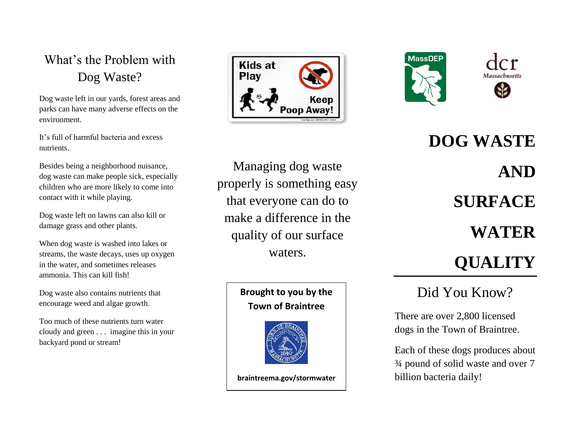## What's the Problem with Dog Waste?

Dog waste left in our yards, forest areas and parks can have many adverse effects on the environment.

It's full of harmful bacteria and excess nutrients.

Besides being a neighborhood nuisance, dog waste can make people sick, especially children who are more likely to come into contact with it while playing.

Dog waste left on lawns can also kill or damage grass and other plants.

When dog waste is washed into lakes or streams, the waste decays, uses up oxygen in the water, and sometimes releases ammonia. This can kill fish!

Dog waste also contains nutrients that encourage weed and algae growth.

Too much of these nutrients turn water cloudy and green . . . imagine this in your backyard pond or stream!





Managing dog waste properly is something easy that everyone can do to make a difference in the quality of our surface waters.

#### **Brought to you by the Town of Braintree**



**braintreema.gov/stormwater**

**DOG WASTE AND SURFACE WATER QUALITY**

## Did You Know?

There are over 2,800 licensed dogs in the Town of Braintree.

Each of these dogs produces about ¾ pound of solid waste and over 7 billion bacteria daily!